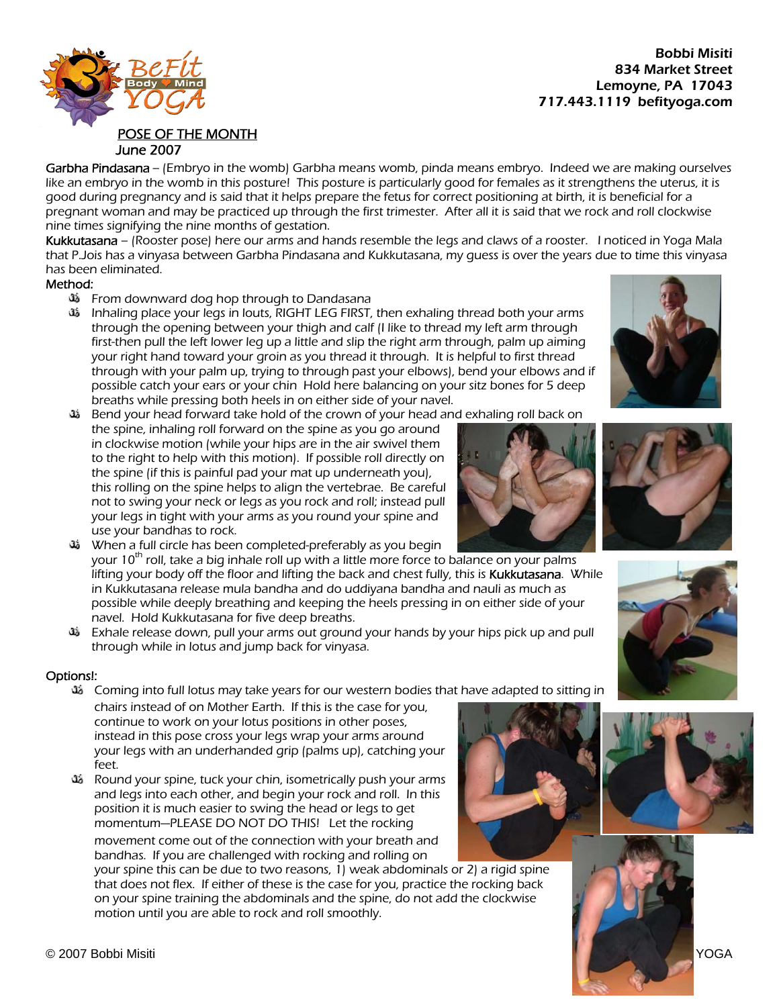834 Market Street Lemoyne, PA 17043 717.443.1119 befityoga.com

## POSE OF THE MONTH June 2007

Garbha Pindasana -- (Embryo in the womb) Garbha means womb, pinda means embryo. Indeed we are making ourselves like an embryo in the womb in this posture! This posture is particularly good for females as it strengthens the uterus, it is good during pregnancy and is said that it helps prepare the fetus for correct positioning at birth, it is beneficial for a pregnant woman and may be practiced up through the first trimester. After all it is said that we rock and roll clockwise nine times signifying the nine months of gestation.

Kukkutasana – (Rooster pose) here our arms and hands resemble the legs and claws of a rooster. I noticed in Yoga Mala that P.Jois has a vinyasa between Garbha Pindasana and Kukkutasana, my guess is over the years due to time this vinyasa has been eliminated.

## Method:

- **35** From downward dog hop through to Dandasana
- Inhaling place your legs in louts, RIGHT LEG FIRST, then exhaling thread both your arms through the opening between your thigh and calf (I like to thread my left arm through first-then pull the left lower leg up a little and slip the right arm through, palm up aiming your right hand toward your groin as you thread it through. It is helpful to first thread through with your palm up, trying to through past your elbows), bend your elbows and if possible catch your ears or your chin Hold here balancing on your sitz bones for 5 deep breaths while pressing both heels in on either side of your navel.
- Bend your head forward take hold of the crown of your head and exhaling roll back on to the right to help with this motion). If possible roll directly on this rolling on the spine helps to align the vertebrae. Be careful the spine, inhaling roll forward on the spine as you go around in clockwise motion (while your hips are in the air swivel them the spine (if this is painful pad your mat up underneath you), not to swing your neck or legs as you rock and roll; instead pull your legs in tight with your arms as you round your spine and use your bandhas to rock.
- ثلث When a full circle has been completed-preferably as you begin your 10<sup>th</sup> roll, take a big inhale roll up with a little more force to balance on your palms lifting your body off the floor and lifting the back and chest fully, this is Kukkutasana. While in Kukkutasana release mula bandha and do uddiyana bandha and nauli as much as possible while deeply breathing and keeping the heels pressing in on either side of your navel. Hold Kukkutasana for five deep breaths.
- Exhale release down, pull your arms out ground your hands by your hips pick up and pull through while in lotus and jump back for vinyasa.

## Options!:

Coming into full lotus may take years for our western bodies that have adapted to sitting in

chairs instead of on Mother Earth. If this is the case for you, continue to work on your lotus positions in other poses, instead in this pose cross your legs wrap your arms around your legs with an underhanded grip (palms up), catching yo ur feet.

Round your spine, tuck your chin, isometrically push your arms movement come out of the connection with your breath and and legs into each other, and begin your rock and roll. In this position it is much easier to swing the head or legs to get momentum—PLEASE DO NOT DO THIS! Let the rocking

bandhas. If you are challenged with rocking and rolling on your spine this can be due to two reasons, 1) weak abdominals or 2) a rigid spine that does not flex. If either of these is the case for you, practice the rocking back on your spine training the abdominals and the spine, do not add the clockwise motion until you are able to rock and roll smoothly.